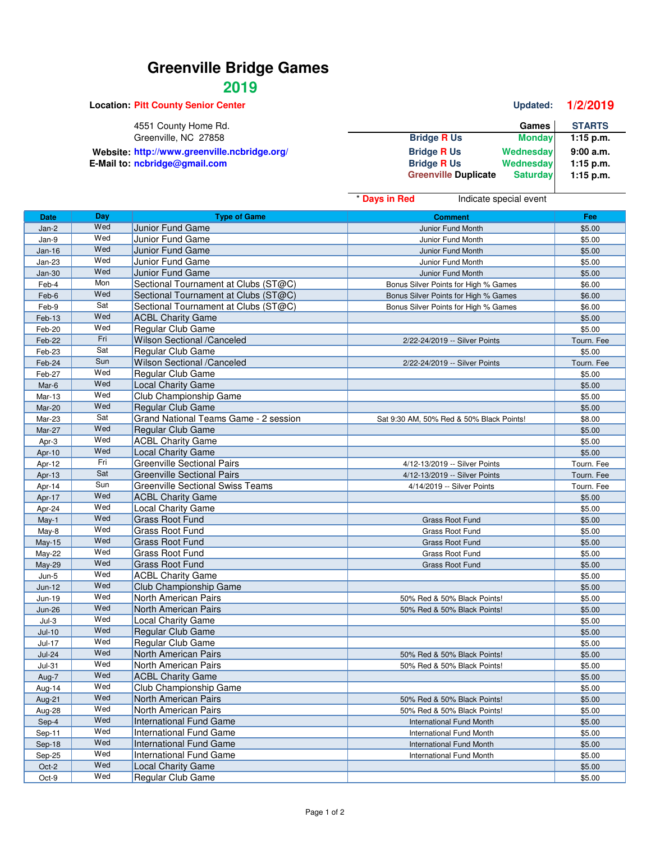## **Greenville Bridge Games**

## **2019**

**Location: Pitt County Senior Center Center Updated: 1/2/2019** 4551 County Home Rd. **Games** STARTS Greenville, NC 27858 **Games** STARTS Greenville, NC 27858 **Games** STARTS Greenville, NC 27858 **Greenville, NC 27858 Bridge R Us Monday** Website: http://www.greenville.ncbridge.org/<br>**Bridge R** Us Wednesday **9:00 a.m.**<br>Bridge R Us Wednesday 1:15 p.m. **E-Mail to: ncbridge@gmail.com Bridge B Bridge R** Us **Wednesday 1:15 p.m.**<br>Compute **Computer Bridge B Computer B Computer B Computer B Computer B Computer B Computer B Computer B**  $Greenville$  **Duplicate** 

|               |     |                                         | * Days in Red<br>Indicate special event  |            |
|---------------|-----|-----------------------------------------|------------------------------------------|------------|
| <b>Date</b>   | Day | <b>Type of Game</b>                     | <b>Comment</b>                           | Fee        |
| Jan-2         | Wed | <b>Junior Fund Game</b>                 | Junior Fund Month                        | \$5.00     |
| Jan-9         | Wed | Junior Fund Game                        | Junior Fund Month                        | \$5.00     |
| $Jan-16$      | Wed | Junior Fund Game                        | Junior Fund Month                        | \$5.00     |
| <b>Jan-23</b> | Wed | Junior Fund Game                        | Junior Fund Month                        | \$5.00     |
| $Jan-30$      | Wed | Junior Fund Game                        | Junior Fund Month                        | \$5.00     |
| Feb-4         | Mon | Sectional Tournament at Clubs (ST@C)    | Bonus Silver Points for High % Games     | \$6.00     |
| Feb-6         | Wed | Sectional Tournament at Clubs (ST@C)    | Bonus Silver Points for High % Games     | \$6.00     |
| Feb-9         | Sat | Sectional Tournament at Clubs (ST@C)    | Bonus Silver Points for High % Games     | \$6.00     |
| Feb-13        | Wed | <b>ACBL Charity Game</b>                |                                          | \$5.00     |
| Feb-20        | Wed | Regular Club Game                       |                                          | \$5.00     |
| Feb-22        | Fri | Wilson Sectional /Canceled              | 2/22-24/2019 -- Silver Points            | Tourn. Fee |
| Feb-23        | Sat | Regular Club Game                       |                                          | \$5.00     |
| Feb-24        | Sun | <b>Wilson Sectional /Canceled</b>       | 2/22-24/2019 -- Silver Points            | Tourn. Fee |
| Feb-27        | Wed | Regular Club Game                       |                                          | \$5.00     |
| Mar-6         | Wed | <b>Local Charity Game</b>               |                                          | \$5.00     |
| Mar-13        | Wed | Club Championship Game                  |                                          | \$5.00     |
| <b>Mar-20</b> | Wed | Regular Club Game                       |                                          | \$5.00     |
| Mar-23        | Sat | Grand National Teams Game - 2 session   | Sat 9:30 AM, 50% Red & 50% Black Points! | \$8.00     |
| Mar-27        | Wed | Regular Club Game                       |                                          | \$5.00     |
| Apr-3         | Wed | <b>ACBL Charity Game</b>                |                                          | \$5.00     |
| Apr-10        | Wed | <b>Local Charity Game</b>               |                                          | \$5.00     |
| Apr-12        | Fri | <b>Greenville Sectional Pairs</b>       | 4/12-13/2019 -- Silver Points            | Tourn. Fee |
| Apr-13        | Sat | <b>Greenville Sectional Pairs</b>       | 4/12-13/2019 -- Silver Points            | Tourn. Fee |
| Apr-14        | Sun | <b>Greenville Sectional Swiss Teams</b> | 4/14/2019 -- Silver Points               | Tourn. Fee |
| Apr-17        | Wed | <b>ACBL Charity Game</b>                |                                          | \$5.00     |
| Apr-24        | Wed | Local Charity Game                      |                                          | \$5.00     |
| May-1         | Wed | <b>Grass Root Fund</b>                  | Grass Root Fund                          | \$5.00     |
| May-8         | Wed | <b>Grass Root Fund</b>                  | Grass Root Fund                          | \$5.00     |
| May-15        | Wed | <b>Grass Root Fund</b>                  | Grass Root Fund                          | \$5.00     |
| May-22        | Wed | <b>Grass Root Fund</b>                  | Grass Root Fund                          | \$5.00     |
| May-29        | Wed | <b>Grass Root Fund</b>                  | Grass Root Fund                          | \$5.00     |
| $Jun-5$       | Wed | <b>ACBL Charity Game</b>                |                                          | \$5.00     |
| Jun-12        | Wed | Club Championship Game                  |                                          | \$5.00     |
| Jun-19        | Wed | North American Pairs                    | 50% Red & 50% Black Points!              | \$5.00     |
| <b>Jun-26</b> | Wed | North American Pairs                    | 50% Red & 50% Black Points!              | \$5.00     |
| $Jul-3$       | Wed | <b>Local Charity Game</b>               |                                          | \$5.00     |
| $Jul-10$      | Wed | Regular Club Game                       |                                          | \$5.00     |
| Jul-17        | Wed | Regular Club Game                       |                                          | \$5.00     |
| <b>Jul-24</b> | Wed | North American Pairs                    | 50% Red & 50% Black Points!              | \$5.00     |
| <b>Jul-31</b> | Wed | North American Pairs                    | 50% Red & 50% Black Points!              | \$5.00     |
| Aug-7         | Wed | <b>ACBL Charity Game</b>                |                                          | \$5.00     |
| Aug-14        | Wed | Club Championship Game                  |                                          | \$5.00     |
| Aug-21        | Wed | North American Pairs                    | 50% Red & 50% Black Points!              | \$5.00     |
| Aug-28        | Wed | North American Pairs                    | 50% Red & 50% Black Points!              | \$5.00     |
| Sep-4         | Wed | International Fund Game                 | <b>International Fund Month</b>          | \$5.00     |
| Sep-11        | Wed | International Fund Game                 | <b>International Fund Month</b>          | \$5.00     |
| Sep-18        | Wed | <b>International Fund Game</b>          | <b>International Fund Month</b>          | \$5.00     |
| Sep-25        | Wed | <b>International Fund Game</b>          | International Fund Month                 | \$5.00     |
| Oct-2         | Wed | <b>Local Charity Game</b>               |                                          | \$5.00     |
| Oct-9         | Wed | Regular Club Game                       |                                          | \$5.00     |